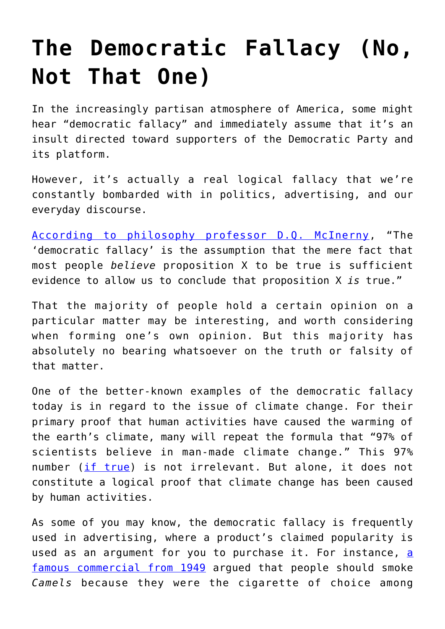## **[The Democratic Fallacy \(No,](https://intellectualtakeout.org/2017/11/the-democratic-fallacy-no-not-that-one/) [Not That One\)](https://intellectualtakeout.org/2017/11/the-democratic-fallacy-no-not-that-one/)**

In the increasingly partisan atmosphere of America, some might hear "democratic fallacy" and immediately assume that it's an insult directed toward supporters of the Democratic Party and its platform.

However, it's actually a real logical fallacy that we're constantly bombarded with in politics, advertising, and our everyday discourse.

[According to philosophy professor D.Q. McInerny,](http://amzn.to/2iVEkWb) "The 'democratic fallacy' is the assumption that the mere fact that most people *believe* proposition X to be true is sufficient evidence to allow us to conclude that proposition X *is* true."

That the majority of people hold a certain opinion on a particular matter may be interesting, and worth considering when forming one's own opinion. But this majority has absolutely no bearing whatsoever on the truth or falsity of that matter.

One of the better-known examples of the democratic fallacy today is in regard to the issue of climate change. For their primary proof that human activities have caused the warming of the earth's climate, many will repeat the formula that "97% of scientists believe in man-made climate change." This 97% number ([if true\)](https://www.intellectualtakeout.org/article/do-97-scientists-really-believe-global-warming) is not irrelevant. But alone, it does not constitute a logical proof that climate change has been caused by human activities.

As some of you may know, the democratic fallacy is frequently used in advertising, where a product's claimed popularity is used as an argument for you to purchase it. For instance, [a](https://www.youtube.com/watch?v=gCMzjJjuxQI) [famous commercial from 1949](https://www.youtube.com/watch?v=gCMzjJjuxQI) argued that people should smoke *Camels* because they were the cigarette of choice among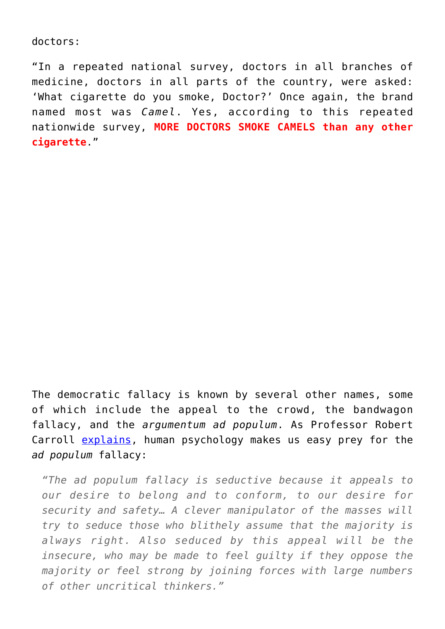doctors:

"In a repeated national survey, doctors in all branches of medicine, doctors in all parts of the country, were asked: 'What cigarette do you smoke, Doctor?' Once again, the brand named most was *Camel*. Yes, according to this repeated nationwide survey, **MORE DOCTORS SMOKE CAMELS than any other cigarette**."

The democratic fallacy is known by several other names, some of which include the appeal to the crowd, the bandwagon fallacy, and the *argumentum ad populum*. As Professor Robert Carroll [explains,](http://skepdic.com/refuge/bio.html) human psychology makes us easy prey for the *ad populum* fallacy:

*"The ad populum fallacy is seductive because it appeals to our desire to belong and to conform, to our desire for security and safety… A clever manipulator of the masses will try to seduce those who blithely assume that the majority is always right. Also seduced by this appeal will be the insecure, who may be made to feel guilty if they oppose the majority or feel strong by joining forces with large numbers of other uncritical thinkers."*